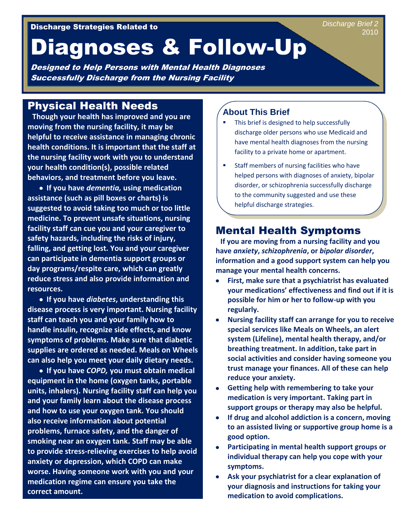# Diagnoses & Follow-Up

Designed to Help Persons with Mental Health Diagnoses Successfully Discharge from the Nursing Facility

## Physical Health Needs

**Though your health has improved and you are moving from the nursing facility, it may be helpful to receive assistance in managing chronic health conditions. It is important that the staff at the nursing facility work with you to understand your health condition(s), possible related behaviors, and treatment before you leave.** 

**If you have** *dementia,* **using medication assistance (such as pill boxes or charts) is suggested to avoid taking too much or too little medicine. To prevent unsafe situations, nursing facility staff can cue you and your caregiver to safety hazards, including the risks of injury, falling, and getting lost. You and your caregiver can participate in dementia support groups or day programs/respite care, which can greatly reduce stress and also provide information and resources.**

**If you have** *diabetes***, understanding this disease process is very important. Nursing facility staff can teach you and your family how to handle insulin, recognize side effects, and know symptoms of problems. Make sure that diabetic supplies are ordered as needed. Meals on Wheels can also help you meet your daily dietary needs.**

**If you have** *COPD,* **you must obtain medical equipment in the home (oxygen tanks, portable units, inhalers). Nursing facility staff can help you and your family learn about the disease process and how to use your oxygen tank. You should also receive information about potential problems, furnace safety, and the danger of smoking near an oxygen tank. Staff may be able to provide stress-relieving exercises to help avoid anxiety or depression, which COPD can make worse. Having someone work with you and your medication regime can ensure you take the correct amount.**

#### **About This Brief**

- This brief is designed to help successfully discharge older persons who use Medicaid and have mental health diagnoses from the nursing facility to a private home or apartment.
- Staff members of nursing facilities who have helped persons with diagnoses of anxiety, bipolar disorder, or schizophrenia successfully discharge to the community suggested and use these helpful discharge strategies.

## Mental Health Symptoms

**If you are moving from a nursing facility and you have** *anxiety***,** *schizophrenia***, or** *bipolar disorder***, information and a good support system can help you manage your mental health concerns.** 

- **First, make sure that a psychiatrist has evaluated your medications' effectiveness and find out if it is possible for him or her to follow-up with you regularly.**
- **Nursing facility staff can arrange for you to receive special services like Meals on Wheels, an alert system (Lifeline), mental health therapy, and/or breathing treatment. In addition, take part in social activities and consider having someone you trust manage your finances. All of these can help reduce your anxiety.**
- **Getting help with remembering to take your medication is very important. Taking part in support groups or therapy may also be helpful.**
- **If drug and alcohol addiction is a concern, moving to an assisted living or supportive group home is a good option.**
- **Participating in mental health support groups or individual therapy can help you cope with your symptoms.**
- **Ask your psychiatrist for a clear explanation of your diagnosis and instructions for taking your medication to avoid complications.**